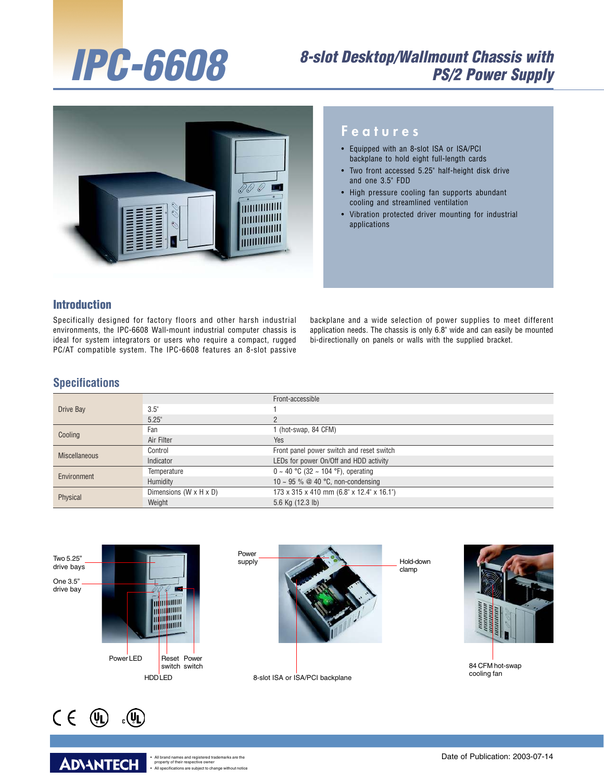# IPC-6608

# 8-slot Desktop/Wallmount Chassis with PS/2 Power Supply



#### F e a t u r e s

- Equipped with an 8-slot ISA or ISA/PCI backplane to hold eight full-length cards
- Two front accessed 5.25" half-height disk drive and one 3.5" FDD
- High pressure cooling fan supports abundant cooling and streamlined ventilation
- Vibration protected driver mounting for industrial applications

#### Introduction

Specifically designed for factory floors and other harsh industrial environments, the IPC-6608 Wall-mount industrial computer chassis is ideal for system integrators or users who require a compact, rugged PC/AT compatible system. The IPC-6608 features an 8-slot passive

backplane and a wide selection of power supplies to meet different application needs. The chassis is only 6.8" wide and can easily be mounted bi-directionally on panels or walls with the supplied bracket.

#### **Specifications**

|                      |                                      | Front-accessible                          |
|----------------------|--------------------------------------|-------------------------------------------|
| Drive Bay            | 3.5"                                 |                                           |
|                      | 5.25"                                | ŋ                                         |
| Cooling              | Fan                                  | 1 (hot-swap, 84 CFM)                      |
|                      | Air Filter                           | Yes                                       |
| <b>Miscellaneous</b> | Control                              | Front panel power switch and reset switch |
|                      | Indicator                            | LEDs for power On/Off and HDD activity    |
| Environment          | Temperature                          | $0 \sim 40$ °C (32 ~ 104 °F), operating   |
|                      | Humidity                             | 10 ~ 95 % @ 40 °C, non-condensing         |
| Physical             | Dimensions ( $W \times H \times D$ ) | 173 x 315 x 410 mm (6.8" x 12.4" x 16.1") |
|                      | Weight                               | 5.6 Kg (12.3 lb)                          |





**ADIANTECH** 

All brand names and registered tradem<br>property of their respective owner • All specifications are subject to change without notice